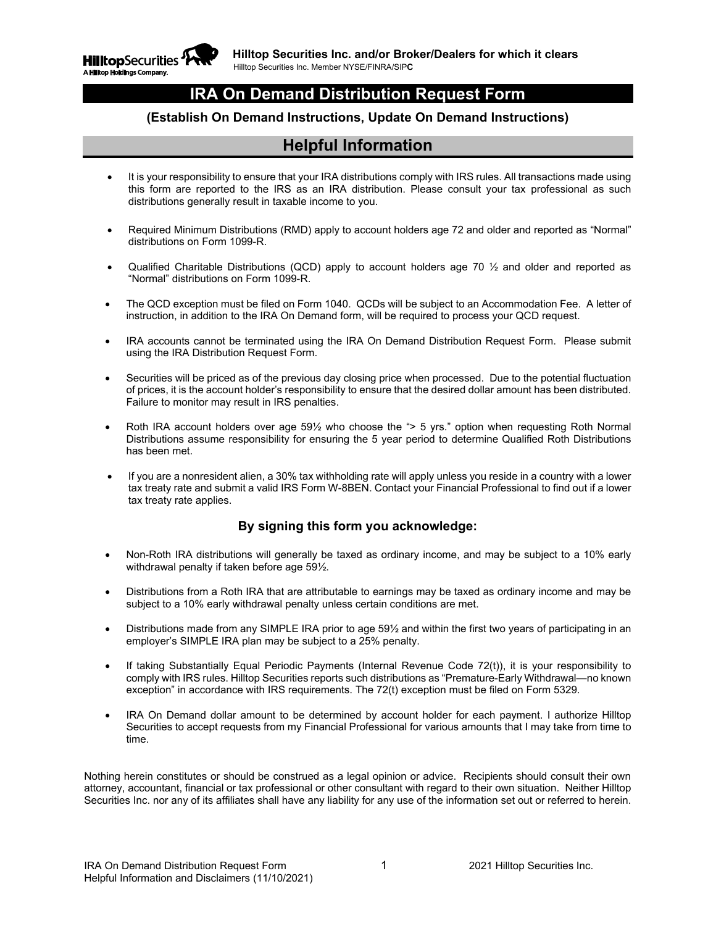

## **IRA On Demand Distribution Request Form**

#### **(Establish On Demand Instructions, Update On Demand Instructions)**

## **Helpful Information**

- It is your responsibility to ensure that your IRA distributions comply with IRS rules. All transactions made using this form are reported to the IRS as an IRA distribution. Please consult your tax professional as such distributions generally result in taxable income to you.
- Required Minimum Distributions (RMD) apply to account holders age 72 and older and reported as "Normal" distributions on Form 1099-R.
- Qualified Charitable Distributions (QCD) apply to account holders age 70  $\frac{1}{2}$  and older and reported as "Normal" distributions on Form 1099-R.
- The QCD exception must be filed on Form 1040. QCDs will be subject to an Accommodation Fee. A letter of instruction, in addition to the IRA On Demand form, will be required to process your QCD request.
- IRA accounts cannot be terminated using the IRA On Demand Distribution Request Form. Please submit using the IRA Distribution Request Form.
- Securities will be priced as of the previous day closing price when processed. Due to the potential fluctuation of prices, it is the account holder's responsibility to ensure that the desired dollar amount has been distributed. Failure to monitor may result in IRS penalties.
- Roth IRA account holders over age 59½ who choose the "> 5 yrs." option when requesting Roth Normal Distributions assume responsibility for ensuring the 5 year period to determine Qualified Roth Distributions has been met.
- If you are a nonresident alien, a 30% tax withholding rate will apply unless you reside in a country with a lower tax treaty rate and submit a valid IRS Form W-8BEN. Contact your Financial Professional to find out if a lower tax treaty rate applies.

#### **By signing this form you acknowledge:**

- Non-Roth IRA distributions will generally be taxed as ordinary income, and may be subject to a 10% early withdrawal penalty if taken before age 59½.
- Distributions from a Roth IRA that are attributable to earnings may be taxed as ordinary income and may be subject to a 10% early withdrawal penalty unless certain conditions are met.
- Distributions made from any SIMPLE IRA prior to age 59½ and within the first two years of participating in an employer's SIMPLE IRA plan may be subject to a 25% penalty.
- If taking Substantially Equal Periodic Payments (Internal Revenue Code 72(t)), it is your responsibility to comply with IRS rules. Hilltop Securities reports such distributions as "Premature-Early Withdrawal—no known exception" in accordance with IRS requirements. The 72(t) exception must be filed on Form 5329.
- IRA On Demand dollar amount to be determined by account holder for each payment. I authorize Hilltop Securities to accept requests from my Financial Professional for various amounts that I may take from time to time.

Nothing herein constitutes or should be construed as a legal opinion or advice. Recipients should consult their own attorney, accountant, financial or tax professional or other consultant with regard to their own situation. Neither Hilltop Securities Inc. nor any of its affiliates shall have any liability for any use of the information set out or referred to herein.